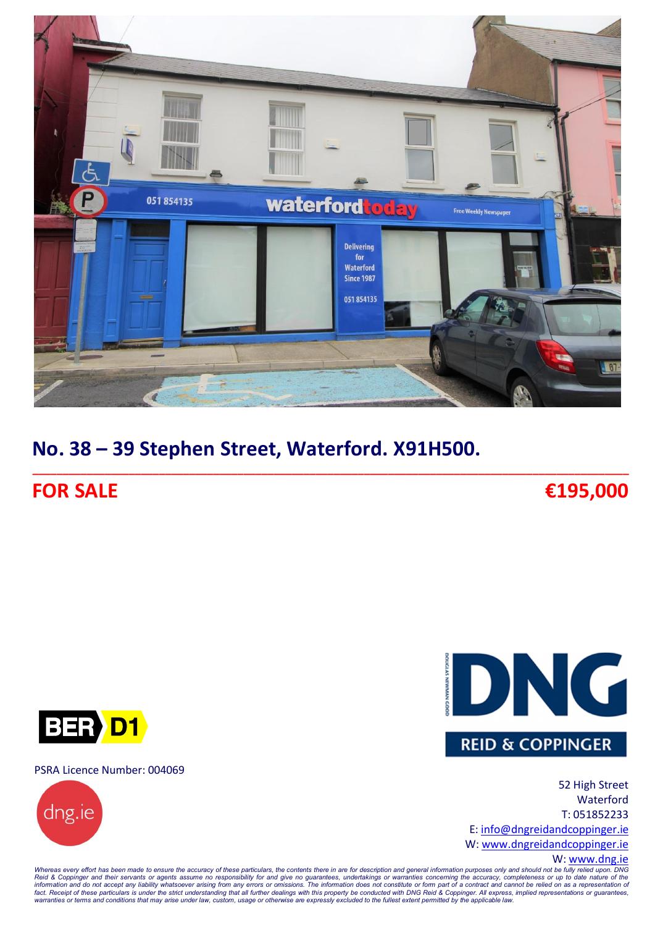

**\_\_\_\_\_\_\_\_\_\_\_\_\_\_\_\_\_\_\_\_\_\_\_\_\_\_\_\_\_\_\_\_\_\_\_\_\_\_\_\_\_\_\_\_\_\_\_\_\_\_\_\_\_\_\_\_\_\_\_\_\_\_\_\_\_\_\_\_\_\_\_\_\_\_\_\_\_\_\_\_\_\_\_\_\_\_\_\_\_\_\_\_\_\_\_\_\_\_\_**

# **No. 38 – 39 Stephen Street, Waterford. X91H500.**

## **FOR SALE €195,000**





#### W: [www.dng.ie](http://www.dng.ie/)

BER D1

PSRA Licence Number: 004069



Whereas every effort has been made to ensure the accuracy of these particulars, the contents there in are for description and general information purposes only and should not be fully relied upon. DNG<br>Reid & Coppinger and warranties or terms and conditions that may arise under law, custom, usage or otherwise are expressly excluded to the fullest extent permitted by the applicable law.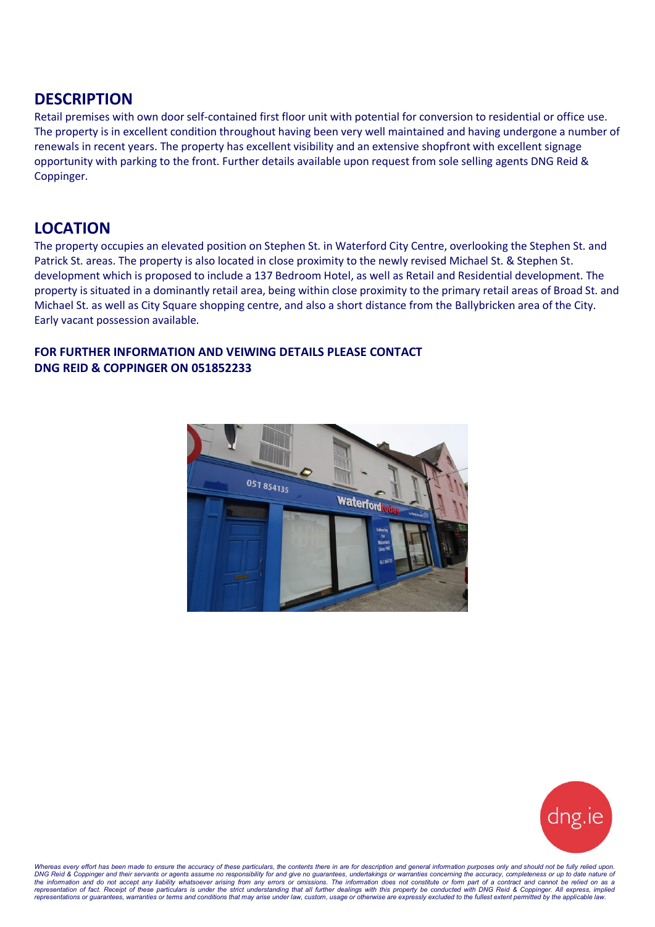### **DESCRIPTION**

Retail premises with own door self-contained first floor unit with potential for conversion to residential or office use. The property is in excellent condition throughout having been very well maintained and having undergone a number of renewals in recent years. The property has excellent visibility and an extensive shopfront with excellent signage opportunity with parking to the front. Further details available upon request from sole selling agents DNG Reid & Coppinger.

### **LOCATION**

The property occupies an elevated position on Stephen St. in Waterford City Centre, overlooking the Stephen St. and Patrick St. areas. The property is also located in close proximity to the newly revised Michael St. & Stephen St. development which is proposed to include a 137 Bedroom Hotel, as well as Retail and Residential development. The property is situated in a dominantly retail area, being within close proximity to the primary retail areas of Broad St. and Michael St. as well as City Square shopping centre, and also a short distance from the Ballybricken area of the City. Early vacant possession available.

#### **FOR FURTHER INFORMATION AND VEIWING DETAILS PLEASE CONTACT DNG REID & COPPINGER ON 051852233**





Whereas every effort has been made to ensure the accuracy of these particulars, the contents there in are for description and general information purposes only and should not be fully relied upon. DNG Reid & Coppinger and their servants or agents assume no responsibility for and give no guarantees, undertakings or warranties concerning the accuracy, completeness or up to date nature of<br>the information and do not acc *representations or guarantees, warranties or terms and conditions that may arise under law, custom, usage or otherwise are expressly excluded to the fullest extent permitted by the applicable law.*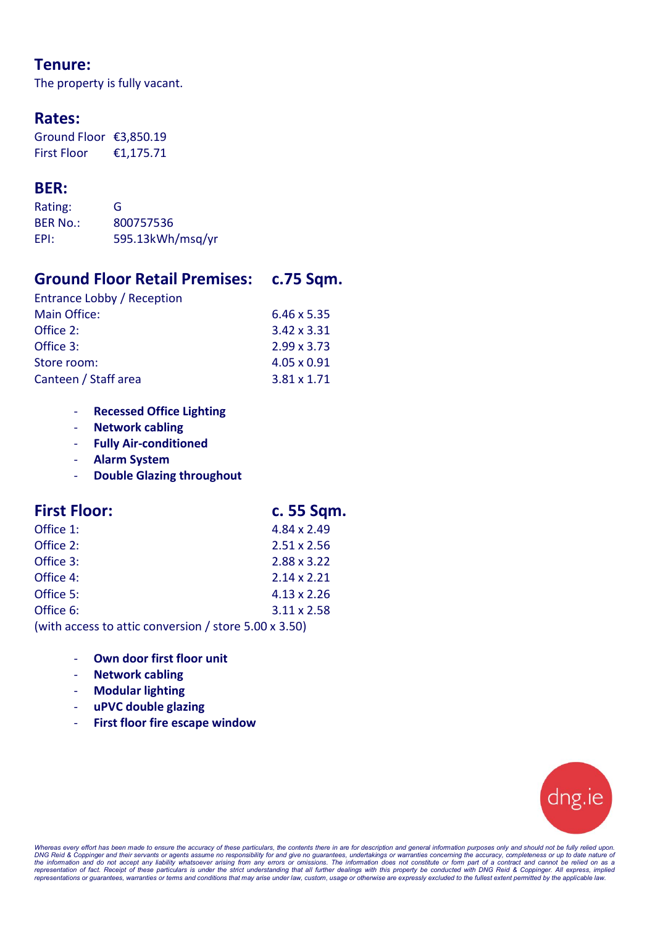### **Tenure:**

The property is fully vacant.

### **Rates:**

Ground Floor €3,850.19 First Floor €1,175.71

### **BER:**

| Rating:         | G                |
|-----------------|------------------|
| <b>BER No.:</b> | 800757536        |
| EPI:            | 595.13kWh/msq/yr |

### **Ground Floor Retail Premises: c.75 Sqm.**

| $6.46 \times 5.35$ |
|--------------------|
| $3.42 \times 3.31$ |
| $2.99 \times 3.73$ |
| 4.05 x 0.91        |
| $3.81 \times 1.71$ |
|                    |

- **Recessed Office Lighting**
- **Network cabling**
- **Fully Air-conditioned**
- **Alarm System**
- **Double Glazing throughout**

| <b>First Floor:</b>                                           | c. 55 Sqm.         |
|---------------------------------------------------------------|--------------------|
| Office 1:                                                     | 4.84 x 2.49        |
| Office 2:                                                     | $2.51 \times 2.56$ |
| Office 3:                                                     | 2.88 x 3.22        |
| Office 4:                                                     | $2.14 \times 2.21$ |
| Office 5:                                                     | $4.13 \times 2.26$ |
| Office 6:                                                     | $3.11 \times 2.58$ |
| (with access to attic conversion / store $5.00 \times 3.50$ ) |                    |

- **Own door first floor unit**
- **Network cabling**
- **Modular lighting**
- **uPVC double glazing**
- **First floor fire escape window**



Whereas every effort has been made to ensure the accuracy of these particulars, the contents there in are for description and general information purposes only and should not be fully relied upon.<br>DNG Reid & Coppinger and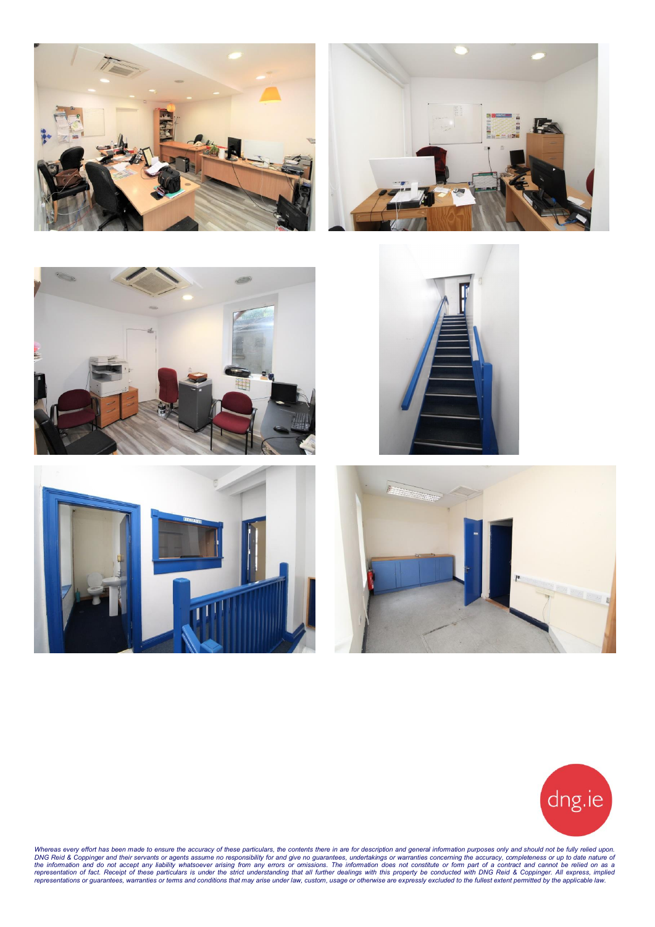













Whereas every effort has been made to ensure the accuracy of these particulars, the contents there in are for description and general information purposes only and should not be fully relied upon. DNG Reid & Coppinger and their servants or agents assume no responsibility for and give no guarantees, undertakings or warranties concerning the accuracy, completeness or up to date nature of<br>the information and do not acc